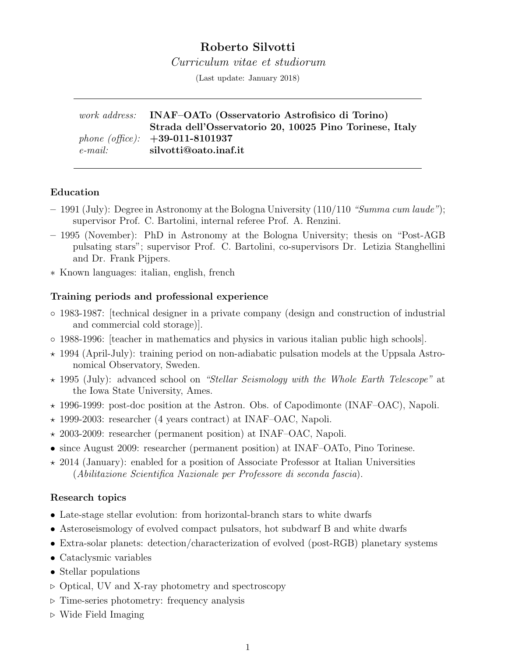# Roberto Silvotti

Curriculum vitae et studiorum

(Last update: January 2018)

work address: INAF–OATo (Osservatorio Astrofisico di Torino) Strada dell'Osservatorio 20, 10025 Pino Torinese, Italy phone (office):  $+39-011-8101937$ e-mail: silvotti@oato.inaf.it

### Education

- 1991 (July): Degree in Astronomy at the Bologna University  $(110/110$  "Summa cum laude"); supervisor Prof. C. Bartolini, internal referee Prof. A. Renzini.
- 1995 (November): PhD in Astronomy at the Bologna University; thesis on "Post-AGB pulsating stars"; supervisor Prof. C. Bartolini, co-supervisors Dr. Letizia Stanghellini and Dr. Frank Pijpers.
- ∗ Known languages: italian, english, french

#### Training periods and professional experience

- 1983-1987: [technical designer in a private company (design and construction of industrial and commercial cold storage)].
- 1988-1996: [teacher in mathematics and physics in various italian public high schools].
- $\star$  1994 (April-July): training period on non-adiabatic pulsation models at the Uppsala Astronomical Observatory, Sweden.
- $\star$  1995 (July): advanced school on "Stellar Seismology with the Whole Earth Telescope" at the Iowa State University, Ames.
- $\star$  1996-1999: post-doc position at the Astron. Obs. of Capodimonte (INAF–OAC), Napoli.
- $\star$  1999-2003: researcher (4 years contract) at INAF–OAC, Napoli.
- $\star$  2003-2009: researcher (permanent position) at INAF–OAC, Napoli.
- since August 2009: researcher (permanent position) at INAF–OATo, Pino Torinese.
- $\star$  2014 (January): enabled for a position of Associate Professor at Italian Universities (Abilitazione Scientifica Nazionale per Professore di seconda fascia).

### Research topics

- Late-stage stellar evolution: from horizontal-branch stars to white dwarfs
- Asteroseismology of evolved compact pulsators, hot subdwarf B and white dwarfs
- Extra-solar planets: detection/characterization of evolved (post-RGB) planetary systems
- Cataclysmic variables
- Stellar populations
- $\triangleright$  Optical, UV and X-ray photometry and spectroscopy
- $\triangleright$  Time-series photometry: frequency analysis
- $\triangleright$  Wide Field Imaging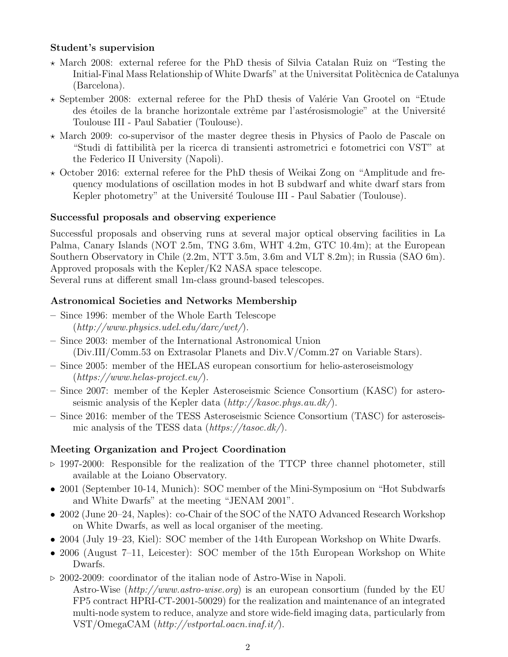## Student's supervision

- $\star$  March 2008: external referee for the PhD thesis of Silvia Catalan Ruiz on "Testing the Initial-Final Mass Relationship of White Dwarfs" at the Universitat Politècnica de Catalunya (Barcelona).
- $\star$  September 2008: external referee for the PhD thesis of Valérie Van Grootel on "Etude" des étoiles de la branche horizontale extrême par l'astérosismologie" at the Université Toulouse III - Paul Sabatier (Toulouse).
- $\star$  March 2009: co-supervisor of the master degree thesis in Physics of Paolo de Pascale on "Studi di fattibilit`a per la ricerca di transienti astrometrici e fotometrici con VST" at the Federico II University (Napoli).
- $\star$  October 2016: external referee for the PhD thesis of Weikai Zong on "Amplitude and frequency modulations of oscillation modes in hot B subdwarf and white dwarf stars from Kepler photometry" at the Université Toulouse III - Paul Sabatier (Toulouse).

## Successful proposals and observing experience

Successful proposals and observing runs at several major optical observing facilities in La Palma, Canary Islands (NOT 2.5m, TNG 3.6m, WHT 4.2m, GTC 10.4m); at the European Southern Observatory in Chile (2.2m, NTT 3.5m, 3.6m and VLT 8.2m); in Russia (SAO 6m). Approved proposals with the Kepler/K2 NASA space telescope. Several runs at different small 1m-class ground-based telescopes.

# Astronomical Societies and Networks Membership

- Since 1996: member of the Whole Earth Telescope  $(http://www.physics.udel.edu/darc/wet/).$
- Since 2003: member of the International Astronomical Union (Div.III/Comm.53 on Extrasolar Planets and Div.V/Comm.27 on Variable Stars).
- Since 2005: member of the HELAS european consortium for helio-asteroseismology  $(\textit{https://www.helas-project.eu/}).$
- Since 2007: member of the Kepler Asteroseismic Science Consortium (KASC) for asteroseismic analysis of the Kepler data  $\frac{http://kasoc.phys.au.dk/)}$ .
- Since 2016: member of the TESS Asteroseismic Science Consortium (TASC) for asteroseismic analysis of the TESS data  $(\text{https://tasoc.dk/}).$

# Meeting Organization and Project Coordination

- $\triangleright$  1997-2000: Responsible for the realization of the TTCP three channel photometer, still available at the Loiano Observatory.
- 2001 (September 10-14, Munich): SOC member of the Mini-Symposium on "Hot Subdwarfs and White Dwarfs" at the meeting "JENAM 2001".
- 2002 (June 20–24, Naples): co-Chair of the SOC of the NATO Advanced Research Workshop on White Dwarfs, as well as local organiser of the meeting.
- 2004 (July 19–23, Kiel): SOC member of the 14th European Workshop on White Dwarfs.
- 2006 (August 7–11, Leicester): SOC member of the 15th European Workshop on White Dwarfs.
- $\triangleright$  2002-2009: coordinator of the italian node of Astro-Wise in Napoli. Astro-Wise (http://www.astro-wise.org) is an european consortium (funded by the EU FP5 contract HPRI-CT-2001-50029) for the realization and maintenance of an integrated multi-node system to reduce, analyze and store wide-field imaging data, particularly from  $VST/OmegaCAM$  (http://vstportal.oacn.inaf.it/).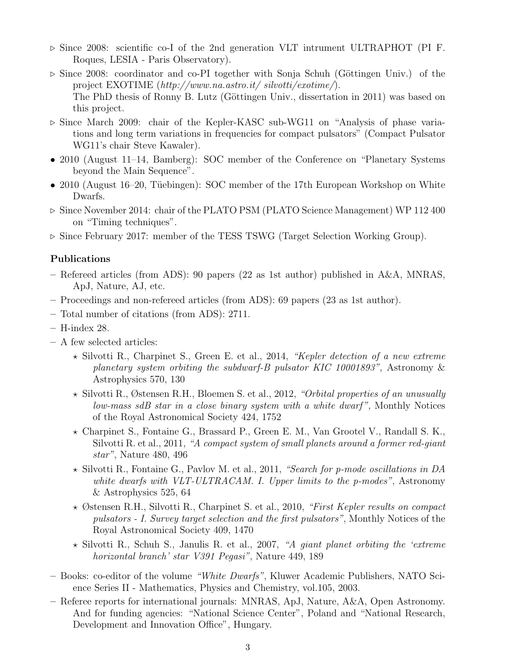- $\triangleright$  Since 2008: scientific co-I of the 2nd generation VLT intrument ULTRAPHOT (PI F. Roques, LESIA - Paris Observatory).
- $\triangleright$  Since 2008: coordinator and co-PI together with Sonja Schuh (Göttingen Univ.) of the project EXOTIME  $(http://www.na.astro.it/slvotti/exotine/).$ The PhD thesis of Ronny B. Lutz (Göttingen Univ., dissertation in 2011) was based on this project.
- . Since March 2009: chair of the Kepler-KASC sub-WG11 on "Analysis of phase variations and long term variations in frequencies for compact pulsators" (Compact Pulsator WG11's chair Steve Kawaler).
- 2010 (August 11–14, Bamberg): SOC member of the Conference on "Planetary Systems" beyond the Main Sequence".
- 2010 (August 16–20, Tüebingen): SOC member of the 17th European Workshop on White Dwarfs.
- $\triangleright$  Since November 2014: chair of the PLATO PSM (PLATO Science Management) WP 112 400 on "Timing techniques".
- $\triangleright$  Since February 2017: member of the TESS TSWG (Target Selection Working Group).

## Publications

- Refereed articles (from ADS): 90 papers (22 as 1st author) published in A&A, MNRAS, ApJ, Nature, AJ, etc.
- Proceedings and non-refereed articles (from ADS): 69 papers (23 as 1st author).
- Total number of citations (from ADS): 2711.
- H-index 28.
- A few selected articles:
	- $\star$  Silvotti R., Charpinet S., Green E. et al., 2014, "Kepler detection of a new extreme planetary system orbiting the subdwarf-B pulsator KIC 10001893", Astronomy & Astrophysics 570, 130
	- $\star$  Silvotti R., Østensen R.H., Bloemen S. et al., 2012, "Orbital properties of an unusually low-mass sdB star in a close binary system with a white dwarf ", Monthly Notices of the Royal Astronomical Society 424, 1752
	- ? Charpinet S., Fontaine G., Brassard P., Green E. M., Van Grootel V., Randall S. K., Silvotti R. et al., 2011, "A compact system of small planets around a former red-giant star", Nature 480, 496
	- $\star$  Silvotti R., Fontaine G., Pavlov M. et al., 2011, "Search for p-mode oscillations in DA white dwarfs with VLT-ULTRACAM. I. Upper limits to the p-modes", Astronomy & Astrophysics 525, 64
	- $\star$  Østensen R.H., Silvotti R., Charpinet S. et al., 2010, "First Kepler results on compact" pulsators - I. Survey target selection and the first pulsators", Monthly Notices of the Royal Astronomical Society 409, 1470
	- $\star$  Silvotti R., Schuh S., Janulis R. et al., 2007, "A giant planet orbiting the 'extreme' horizontal branch' star V391 Pegasi", Nature 449, 189
- Books: co-editor of the volume "White Dwarfs", Kluwer Academic Publishers, NATO Science Series II - Mathematics, Physics and Chemistry, vol.105, 2003.
- Referee reports for international journals: MNRAS, ApJ, Nature, A&A, Open Astronomy. And for funding agencies: "National Science Center", Poland and "National Research, Development and Innovation Office", Hungary.